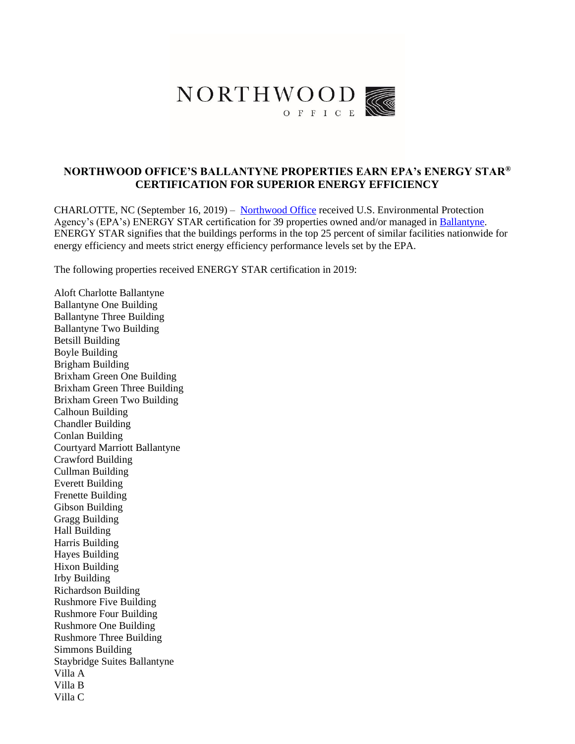

# **NORTHWOOD OFFICE'S BALLANTYNE PROPERTIES EARN EPA's ENERGY STAR® CERTIFICATION FOR SUPERIOR ENERGY EFFICIENCY**

CHARLOTTE, NC (September 16, 2019) – [Northwood Office](https://www.northwoodoffice.com/) received U.S. Environmental Protection Agency's (EPA's) ENERGY STAR certification for 39 properties owned and/or managed in [Ballantyne.](https://www.goballantyne.com/) ENERGY STAR signifies that the buildings performs in the top 25 percent of similar facilities nationwide for energy efficiency and meets strict energy efficiency performance levels set by the EPA.

The following properties received ENERGY STAR certification in 2019:

Aloft Charlotte Ballantyne Ballantyne One Building Ballantyne Three Building Ballantyne Two Building Betsill Building Boyle Building Brigham Building Brixham Green One Building Brixham Green Three Building Brixham Green Two Building Calhoun Building Chandler Building Conlan Building Courtyard Marriott Ballantyne Crawford Building Cullman Building Everett Building Frenette Building Gibson Building Gragg Building Hall Building Harris Building Hayes Building Hixon Building Irby Building Richardson Building Rushmore Five Building Rushmore Four Building Rushmore One Building Rushmore Three Building Simmons Building Staybridge Suites Ballantyne Villa A Villa B Villa C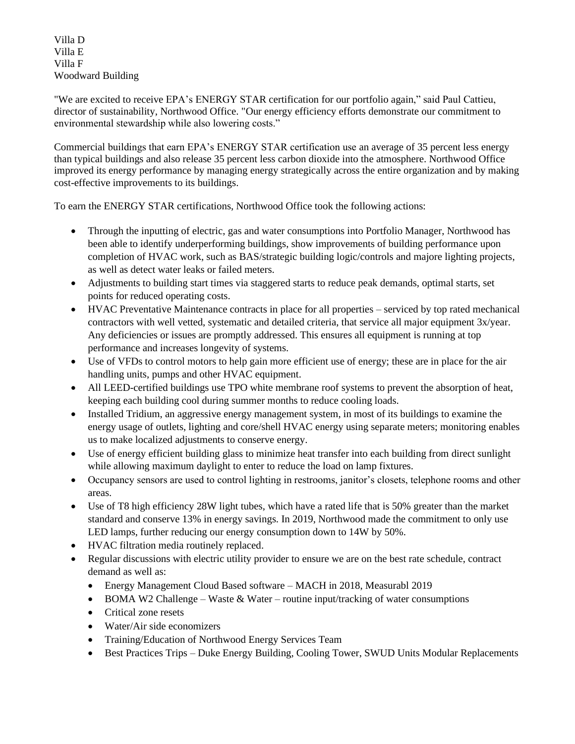Villa D Villa E Villa F Woodward Building

"We are excited to receive EPA's ENERGY STAR certification for our portfolio again," said Paul Cattieu, director of sustainability, Northwood Office. "Our energy efficiency efforts demonstrate our commitment to environmental stewardship while also lowering costs."

Commercial buildings that earn EPA's ENERGY STAR certification use an average of 35 percent less energy than typical buildings and also release 35 percent less carbon dioxide into the atmosphere. Northwood Office improved its energy performance by managing energy strategically across the entire organization and by making cost-effective improvements to its buildings.

To earn the ENERGY STAR certifications, Northwood Office took the following actions:

- Through the inputting of electric, gas and water consumptions into Portfolio Manager, Northwood has been able to identify underperforming buildings, show improvements of building performance upon completion of HVAC work, such as BAS/strategic building logic/controls and majore lighting projects, as well as detect water leaks or failed meters.
- Adjustments to building start times via staggered starts to reduce peak demands, optimal starts, set points for reduced operating costs.
- HVAC Preventative Maintenance contracts in place for all properties serviced by top rated mechanical contractors with well vetted, systematic and detailed criteria, that service all major equipment 3x/year. Any deficiencies or issues are promptly addressed. This ensures all equipment is running at top performance and increases longevity of systems.
- Use of VFDs to control motors to help gain more efficient use of energy; these are in place for the air handling units, pumps and other HVAC equipment.
- All LEED-certified buildings use TPO white membrane roof systems to prevent the absorption of heat, keeping each building cool during summer months to reduce cooling loads.
- Installed Tridium, an aggressive energy management system, in most of its buildings to examine the energy usage of outlets, lighting and core/shell HVAC energy using separate meters; monitoring enables us to make localized adjustments to conserve energy.
- Use of energy efficient building glass to minimize heat transfer into each building from direct sunlight while allowing maximum daylight to enter to reduce the load on lamp fixtures.
- Occupancy sensors are used to control lighting in restrooms, janitor's closets, telephone rooms and other areas.
- Use of T8 high efficiency 28W light tubes, which have a rated life that is 50% greater than the market standard and conserve 13% in energy savings. In 2019, Northwood made the commitment to only use LED lamps, further reducing our energy consumption down to 14W by 50%.
- HVAC filtration media routinely replaced.
- Regular discussions with electric utility provider to ensure we are on the best rate schedule, contract demand as well as:
	- Energy Management Cloud Based software MACH in 2018, Measurabl 2019
	- BOMA W2 Challenge Waste & Water routine input/tracking of water consumptions
	- Critical zone resets
	- Water/Air side economizers
	- Training/Education of Northwood Energy Services Team
	- Best Practices Trips Duke Energy Building, Cooling Tower, SWUD Units Modular Replacements